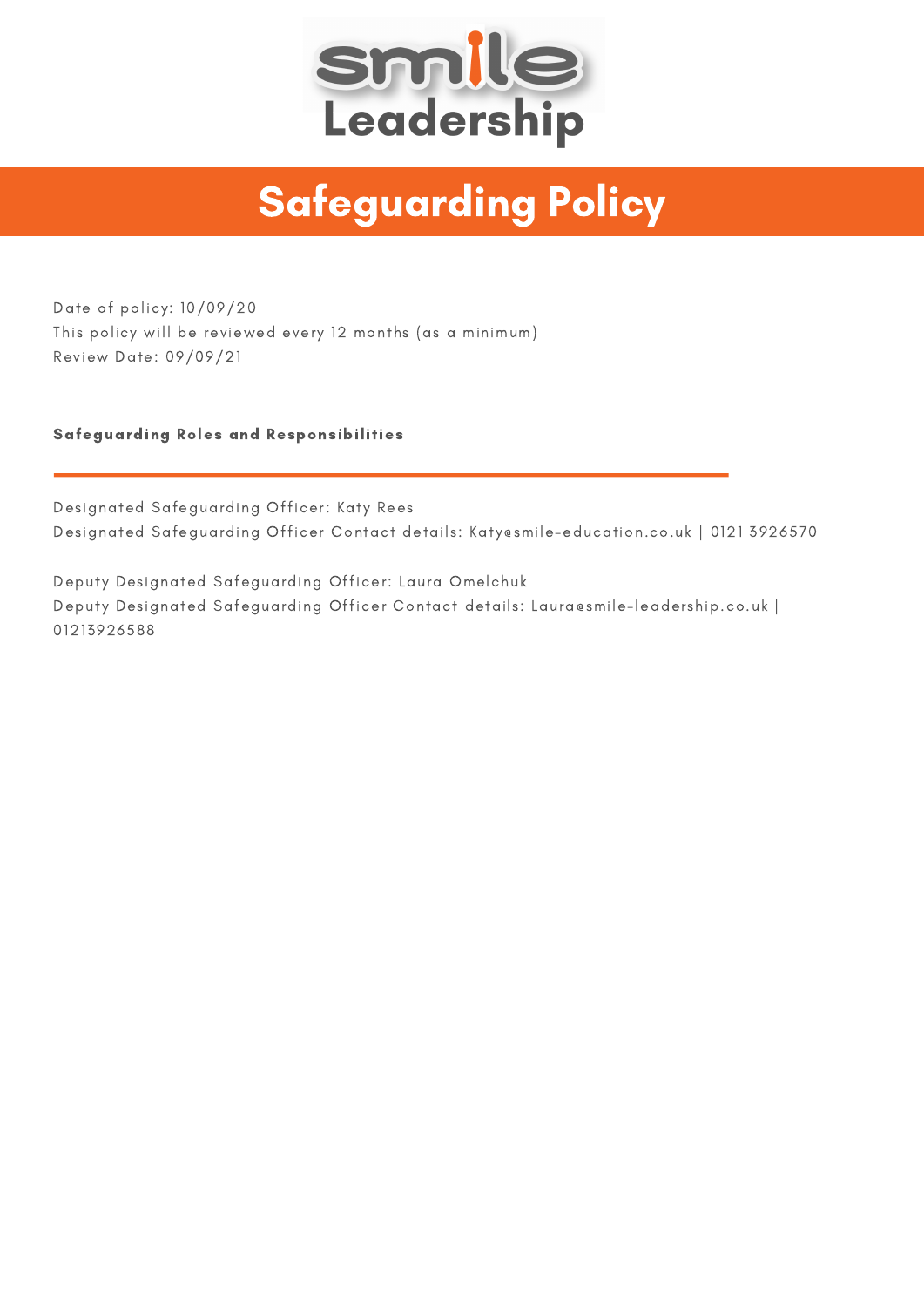

# Safeguarding Policy

Date of policy: 10/09/20 This policy will be reviewed every 12 months (as a minimum) Review Date: 09/09/21

## Safeguarding Roles and Responsibilities

Designated Safeguarding Officer: Katy Rees Designated Safeguarding Officer Contact details: Katy@smile-education.co.uk | 0121 3926570

Deputy Designated Safeguarding Officer: Laura Omelchuk Deputy Designated Safeguarding Officer Contact details: Laura@smile-leadership.co.uk | 01213926588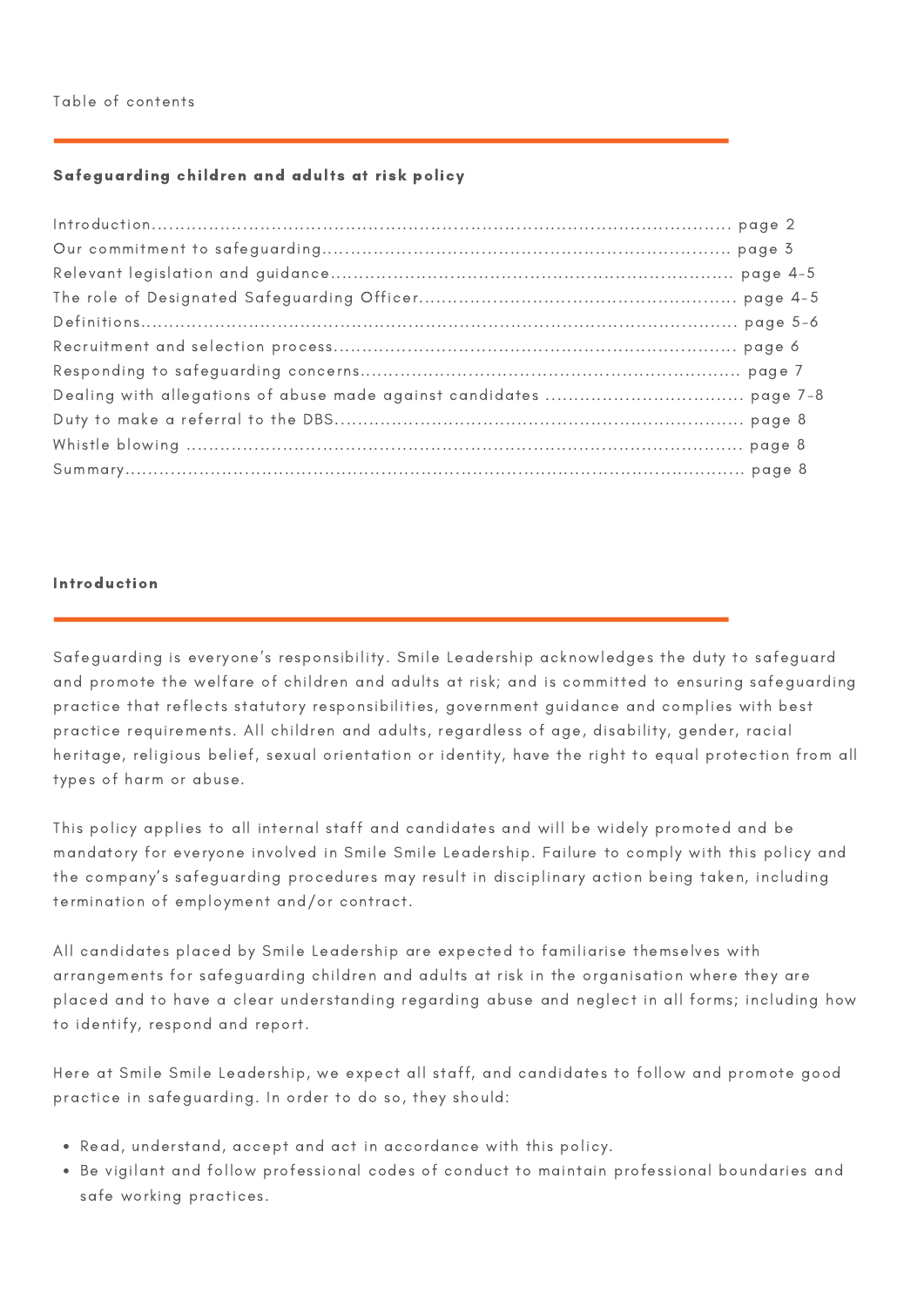# Safeguarding children and adults at risk policy

### Introduction

Safeguarding is everyone's responsibility. Smile Leadership acknowledges the duty to safeguard and promote the welfare of children and adults at risk; and is committed to ensuring safeguarding practice that reflects statutory responsibilities, government guidance and complies with best practice requirements. All children and adults, regardless of age, disability, gender, racial heritage, religious belief, sexual orientation or identity, have the right to equal protection from all types of harm or abuse.

This policy applies to all internal staff and candidates and will be widely promoted and be mandatory for everyone involved in Smile Smile Leadership. Failure to comply with this policy and the company's safeguarding procedures may result in disciplinary action being taken, including termination of employment and/or contract.

All candidates placed by Smile Leadership are expected to familiarise themselves with arrangements for safeguarding children and adults at risk in the organisation where they are placed and to have a clear understanding regarding abuse and neglect in all forms; including how to identify, respond and report.

Here at Smile Smile Leadership, we expect all staff, and candidates to follow and promote good practice in safeguarding. In order to do so, they should:

- Read, understand, accept and act in accordance with this policy.
- Be vigilant and follow professional codes of conduct to maintain professional boundaries and safe working practices.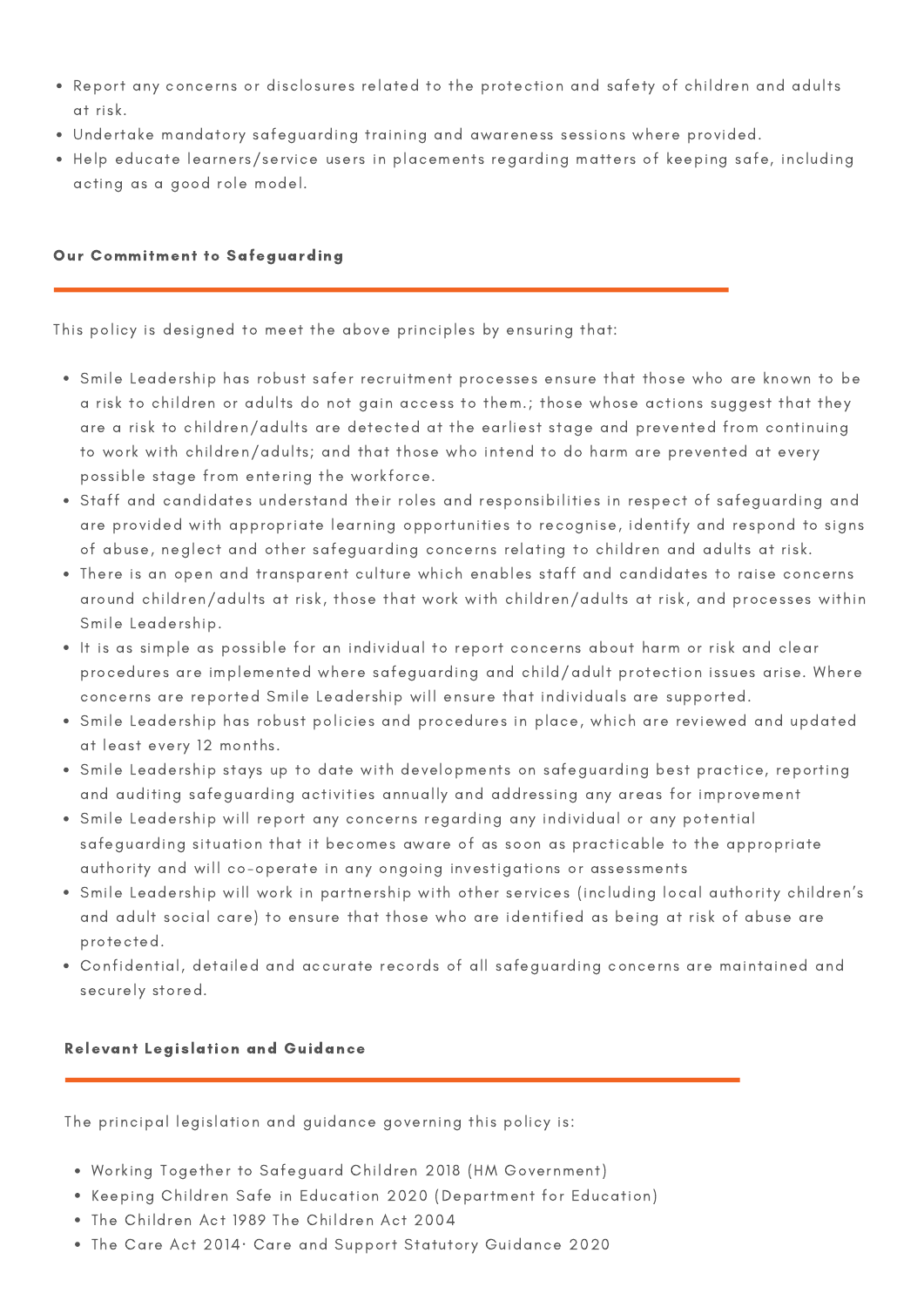- Report any concerns or disclosures related to the protection and safety of children and adults at risk.
- Undertake mandatory safeguarding training and awareness sessions where provided.
- Help educate learners/service users in placements regarding matters of keeping safe, including acting as a good role model.

## Our Commitment to Safeguarding

This policy is designed to meet the above principles by ensuring that:

- Smile Leadership has robust safer recruitment processes ensure that those who are known to be a risk to children or adults do not gain access to them.; those whose actions suggest that they are a risk to children/adults are detected at the earliest stage and prevented from continuing to work with children/adults; and that those who intend to do harm are prevented at every possible stage from entering the workforce.
- Staff and candidates understand their roles and responsibilities in respect of safeguarding and are provided with appropriate learning opportunities to recognise, identify and respond to signs of abuse, neglect and other safeguarding concerns relating to children and adults at risk.
- There is an open and transparent culture which enables staff and candidates to raise concerns around children/adults at risk, those that work with children/adults at risk, and processes within Smile Leadership.
- It is as simple as possible for an individual to report concerns about harm or risk and clear procedures are implemented where safeguarding and child/adult protection issues arise. Where concerns are reported Smile Leadership will ensure that individuals are supported.
- Smile Leadership has robust policies and procedures in place, which are reviewed and updated at least every 12 months.
- Smile Leadership stays up to date with developments on safeguarding best practice, reporting and auditing safeguarding activities annually and addressing any areas for improvement
- Smile Leadership will report any concerns regarding any individual or any potential safeguarding situation that it becomes aware of as soon as practicable to the appropriate authority and will co-operate in any ongoing investigations or assessments
- Smile Leadership will work in partnership with other services (including local authority children's and adult social care) to ensure that those who are identified as being at risk of abuse are protected.
- Confidential, detailed and accurate records of all safeguarding concerns are maintained and securely stored.

# Relevant Legislation and Guidance

The principal legislation and guidance governing this policy is:

- Working Together to Safeguard Children 2018 (HM Government)
- Keeping Children Safe in Education 2020 (Department for Education)
- The Children Act 1989 The Children Act 2004
- The Care Act 2014· Care and Support Statutory Guidance 2020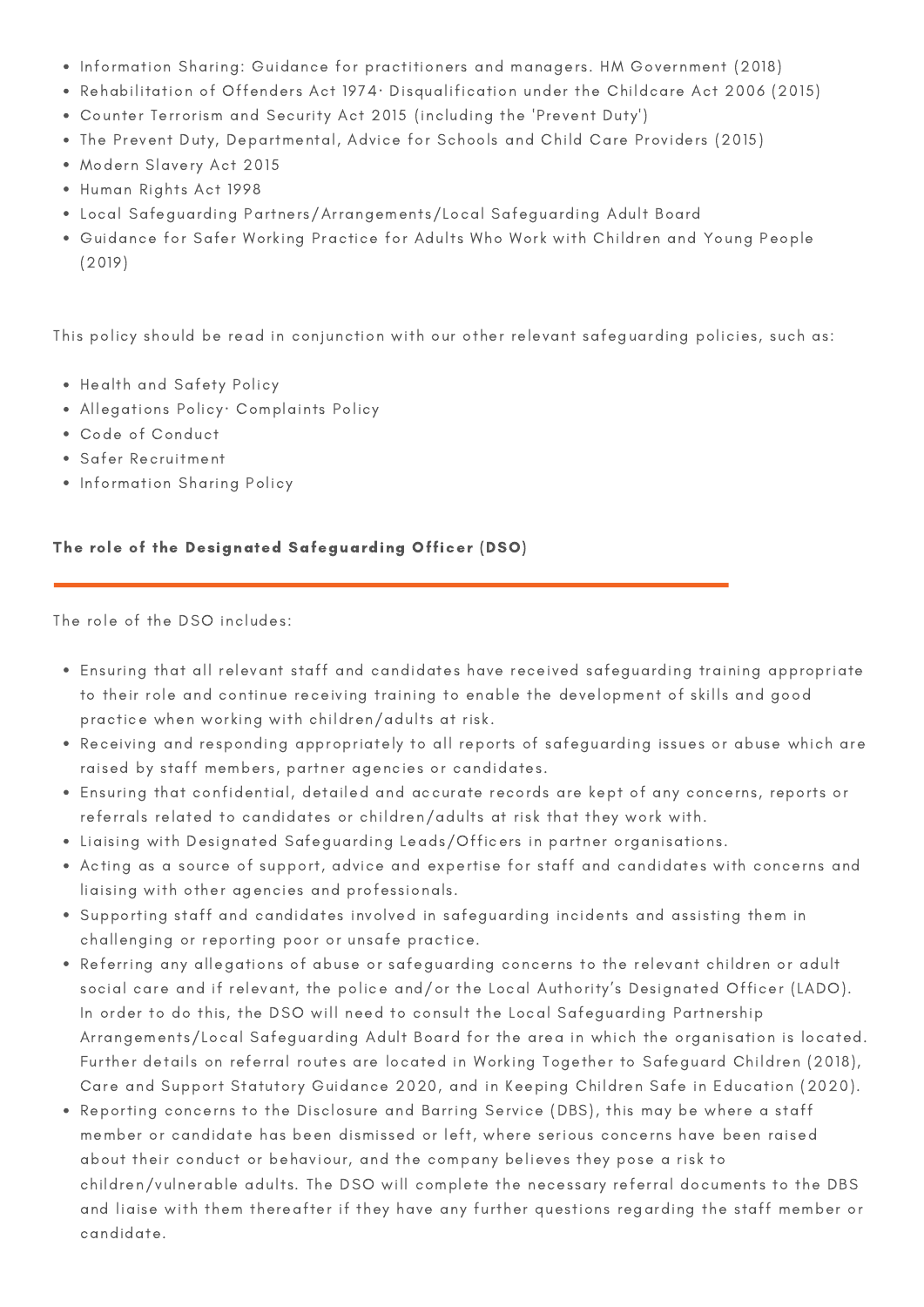- Information Sharing: Guidance for practitioners and managers. HM Government (2018)
- Rehabilitation of Offenders Act 1974· Disqualification under the Childcare Act 2006 (2015)
- Counter Terrorism and Security Act 2015 (including the 'Prevent Duty')
- The Prevent Duty, Departmental, Advice for Schools and Child Care Providers (2015)
- Modern Slavery Act 2015
- Human Rights Act 1998
- Local Safeguarding Partners/Arrangements/Local Safeguarding Adult Board
- Guidance for Safer Working Practice for Adults Who Work with Children and Young People (2019)

This policy should be read in conjunction with our other relevant safeguarding policies, such as:

- Health and Safety Policy
- Allegations Policy· Complaints Policy
- Code of Conduct
- Safer Recruitment
- Information Sharing Policy

## The role of the Designated Safeguarding Officer (DSO)

The role of the DSO includes:

- Ensuring that all relevant staff and candidates have received safeguarding training appropriate to their role and continue receiving training to enable the development of skills and good practice when working with children/adults at risk.
- Receiving and responding appropriately to all reports of safeguarding issues or abuse which are raised by staff members, partner agencies or candidates.
- Ensuring that confidential, detailed and accurate records are kept of any concerns, reports or referrals related to candidates or children/adults at risk that they work with.
- Liaising with Designated Safeguarding Leads/Officers in partner organisations.
- Acting as a source of support, advice and expertise for staff and candidates with concerns and liaising with other agencies and professionals.
- Supporting staff and candidates involved in safeguarding incidents and assisting them in challenging or reporting poor or unsafe practice.
- Referring any allegations of abuse or safeguarding concerns to the relevant children or adult social care and if relevant, the police and/or the Local Authority's Designated Officer (LADO). In order to do this, the DSO will need to consult the Local Safeguarding Partnership Arrangements/Local Safeguarding Adult Board for the area in which the organisation is located. Further details on referral routes are located in Working Together to Safeguard Children (2018), Care and Support Statutory Guidance 2020, and in Keeping Children Safe in Education (2020).
- Reporting concerns to the Disclosure and Barring Service (DBS), this may be where a staff member or candidate has been dismissed or left, where serious concerns have been raised about their conduct or behaviour, and the company believes they pose a risk to children/vulnerable adults. The DSO will complete the necessary referral documents to the DBS and liaise with them thereafter if they have any further questions regarding the staff member or candidate.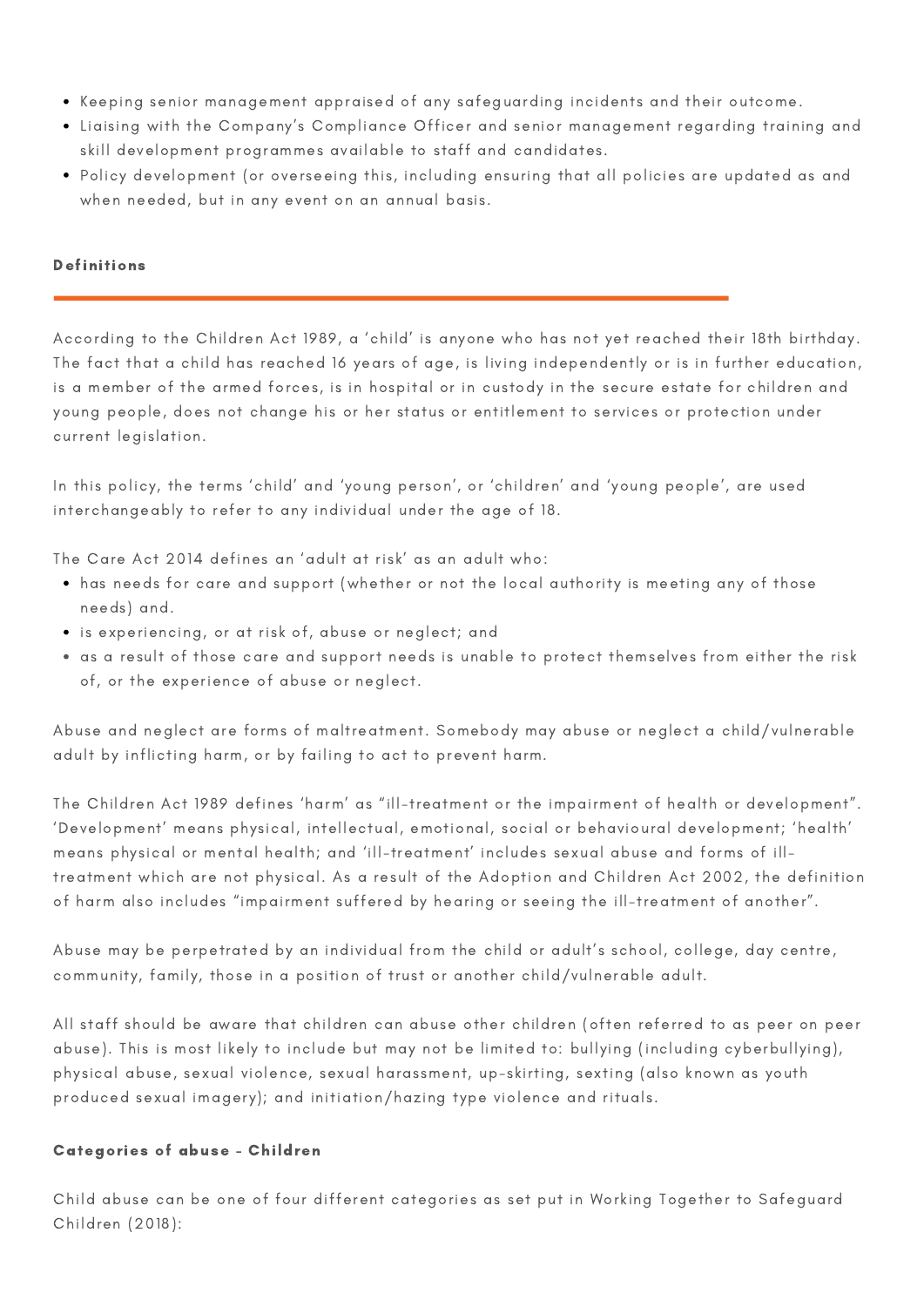- Keeping senior management appraised of any safeguarding incidents and their outcome.
- Liaising with the Company's Compliance Officer and senior management regarding training and skill development programmes available to staff and candidates.
- Policy development (or overseeing this, including ensuring that all policies are updated as and when needed, but in any event on an annual basis.

## Definitions

According to the Children Act 1989, a 'child' is anyone who has not yet reached their 18th birthday. The fact that a child has reached 16 years of age, is living independently or is in further education, is a member of the armed forces, is in hospital or in custody in the secure estate for children and young people, does not change his or her status or entitlement to services or protection under current legislation.

In this policy, the terms 'child' and 'young person', or 'children' and 'young people', are used interchangeably to refer to any individual under the age of 18.

The Care Act 2014 defines an 'adult at risk' as an adult who:

- has needs for care and support (whether or not the local authority is meeting any of those needs) and.
- is experiencing, or at risk of, abuse or neglect; and
- as a result of those care and support needs is unable to protect themselves from either the risk of, or the experience of abuse or neglect.

Abuse and neglect are forms of maltreatment. Somebody may abuse or neglect a child/vulnerable adult by inflicting harm, or by failing to act to prevent harm.

The Children Act 1989 defines 'harm' as "ill-treatment or the impairment of health or development". 'Development' means physical, intellectual, emotional, social or behavioural development; 'health' means physical or mental health; and 'ill-treatment' includes sexual abuse and forms of illtreatment which are not physical. As a result of the Adoption and Children Act 2002, the definition of harm also includes "impairment suffered by hearing or seeing the ill-treatment of another".

Abuse may be perpetrated by an individual from the child or adult's school, college, day centre, community, family, those in a position of trust or another child/vulnerable adult.

All staff should be aware that children can abuse other children (often referred to as peer on peer abuse). This is most likely to include but may not be limited to: bullying (including cyberbullying), physical abuse, sexual violence, sexual harassment, up-skirting, sexting (also known as youth produced sexual imagery); and initiation/hazing type violence and rituals.

### Categories of abuse - Children

Child abuse can be one of four different categories as set put in Working Together to Safeguard Children (2018):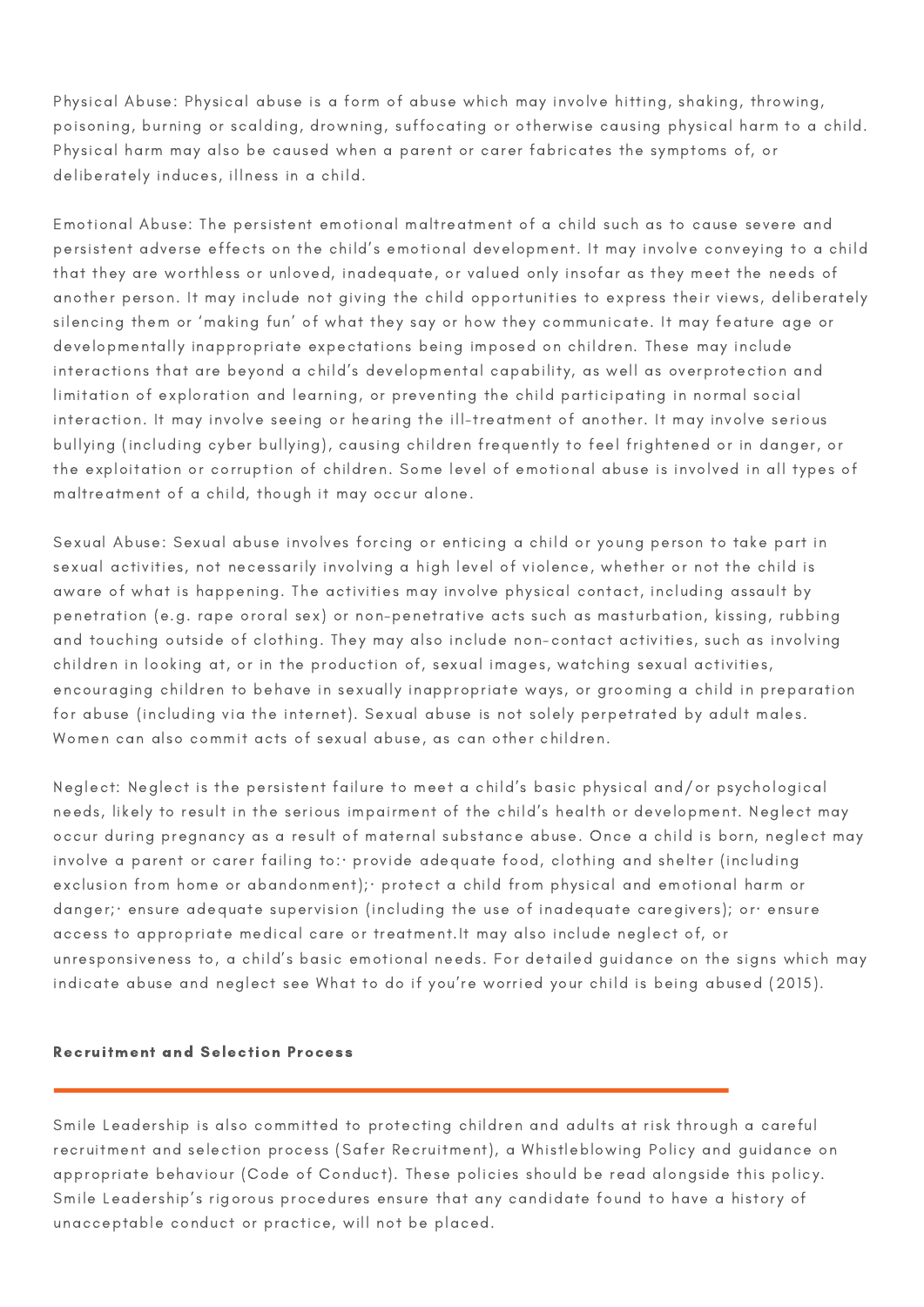Physical Abuse: Physical abuse is a form of abuse which may involve hitting, shaking, throwing, poisoning, burning or scalding, drowning, suffocating or otherwise causing physical harm to a child. Physical harm may also be caused when a parent or carer fabricates the symptoms of, or deliberately induces, illness in a child.

Emotional Abuse: The persistent emotional maltreatment of a child such as to cause severe and persistent adverse effects on the child's emotional development. It may involve conveying to a child that they are worthless or unloved, inadequate, or valued only insofar as they meet the needs of another person. It may include not giving the child opportunities to express their views, deliberately silencing them or 'making fun' of what they say or how they communicate. It may feature age or developmentally inappropriate expectations being imposed on children. These may include interactions that are beyond a child's developmental capability, as well as overprotection and limitation of exploration and learning, or preventing the child participating in normal social interaction. It may involve seeing or hearing the ill-treatment of another. It may involve serious bullying (including cyber bullying), causing children frequently to feel frightened or in danger, or the exploitation or corruption of children. Some level of emotional abuse is involved in all types of maltreatment of a child, though it may occur alone.

Sexual Abuse: Sexual abuse involves forcing or enticing a child or young person to take part in sexual activities, not necessarily involving a high level of violence, whether or not the child is aware of what is happening. The activities may involve physical contact, including assault by penetration (e.g. rape ororal sex) or non-penetrative acts such as masturbation, kissing, rubbing and touching outside of clothing. They may also include non-contact activities, such as involving children in looking at, or in the production of, sexual images, watching sexual activities, encouraging children to behave in sexually inappropriate ways, or grooming a child in preparation for abuse (including via the internet). Sexual abuse is not solely perpetrated by adult males. Women can also commit acts of sexual abuse, as can other children.

Neglect: Neglect is the persistent failure to meet a child's basic physical and/or psychological needs, likely to result in the serious impairment of the child's health or development. Neglect may occur during pregnancy as a result of maternal substance abuse. Once a child is born, neglect may involve a parent or carer failing to: provide adequate food, clothing and shelter (including exclusion from home or abandonment); · protect a child from physical and emotional harm or danger;· ensure adequate supervision (including the use of inadequate caregivers); or· ensure access to appropriate medical care or treatment.It may also include neglect of, or unresponsiveness to, a child's basic emotional needs. For detailed guidance on the signs which may indicate abuse and neglect see What to do if you're worried your child is being abused (2015).

#### Recruitment and Selection Process

Smile Leadership is also committed to protecting children and adults at risk through a careful recruitment and selection process (Safer Recruitment), a Whistleblowing Policy and guidance on appropriate behaviour (Code of Conduct). These policies should be read alongside this policy. Smile Leadership's rigorous procedures ensure that any candidate found to have a history of unacceptable conduct or practice, will not be placed.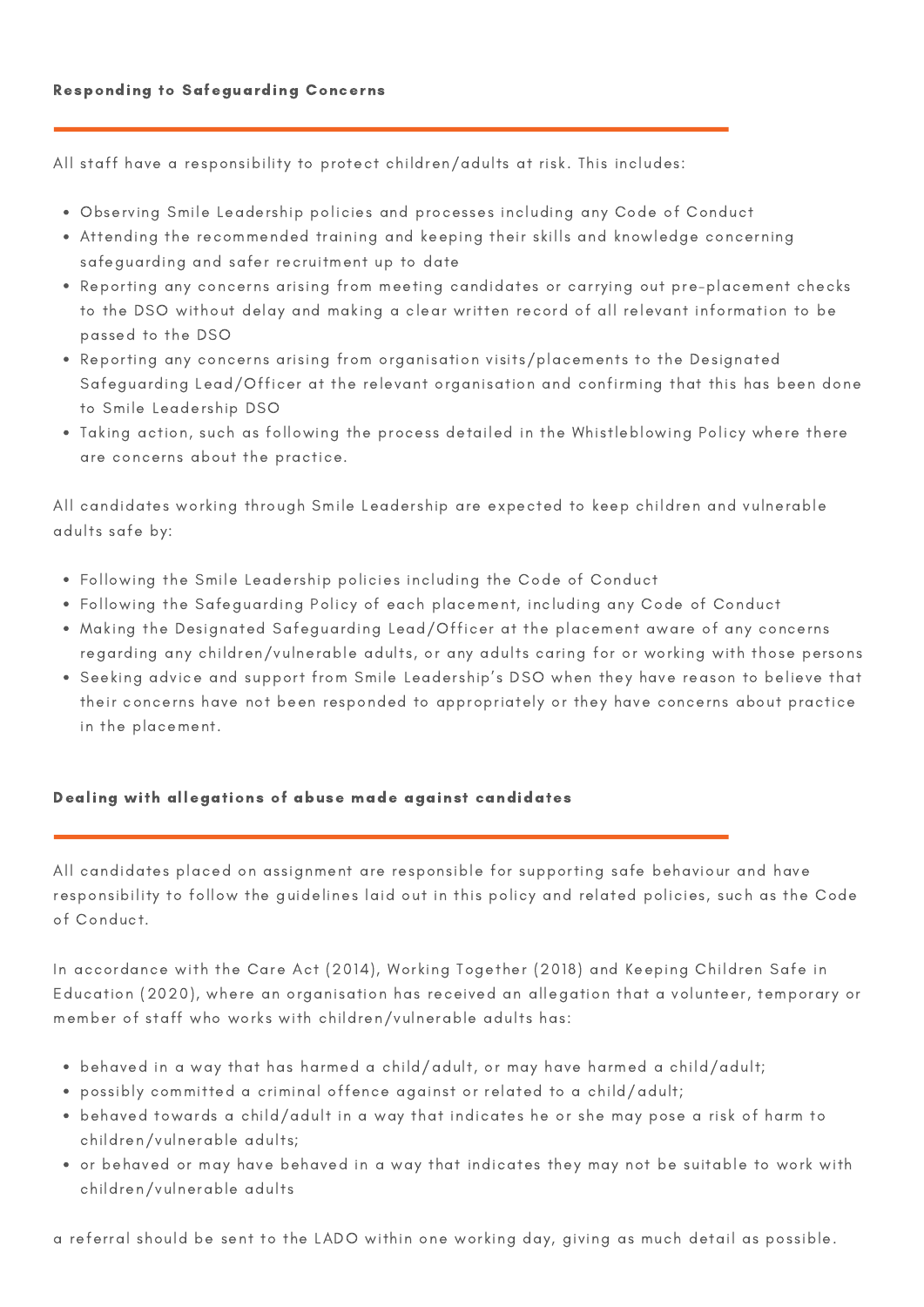All staff have a responsibility to protect children/adults at risk. This includes:

- Observing Smile Leadership policies and processes including any Code of Conduct
- Attending the recommended training and keeping their skills and knowledge concerning safeguarding and safer recruitment up to date
- Reporting any concerns arising from meeting candidates or carrying out pre-placement checks to the DSO without delay and making a clear written record of all relevant information to be passed to the DSO
- Reporting any concerns arising from organisation visits/placements to the Designated Safeguarding Lead/Officer at the relevant organisation and confirming that this has been done to Smile Leadership DSO
- Taking action, such as following the process detailed in the Whistleblowing Policy where there are concerns about the practice.

All candidates working through Smile Leadership are expected to keep children and vulnerable adults safe by:

- Following the Smile Leadership policies including the Code of Conduct
- Following the Safeguarding Policy of each placement, including any Code of Conduct
- Making the Designated Safeguarding Lead/Officer at the placement aware of any concerns regarding any children/vulnerable adults, or any adults caring for or working with those persons
- Seeking advice and support from Smile Leadership's DSO when they have reason to believe that their concerns have not been responded to appropriately or they have concerns about practice in the placement.

# Dealing with allegations of abuse made against candidates

All candidates placed on assignment are responsible for supporting safe behaviour and have responsibility to follow the guidelines laid out in this policy and related policies, such as the Code of Conduct.

In accordance with the Care Act (2014), Working Together (2018) and Keeping Children Safe in Education (2020), where an organisation has received an allegation that a volunteer, temporary or member of staff who works with children/vulnerable adults has:

- behaved in a way that has harmed a child/adult, or may have harmed a child/adult;
- possibly committed a criminal offence against or related to a child/adult;
- behaved towards a child/adult in a way that indicates he or she may pose a risk of harm to children/vulnerable adults;
- or behaved or may have behaved in a way that indicates they may not be suitable to work with children/vulnerable adults

a referral should be sent to the LADO within one working day, giving as much detail as possible.